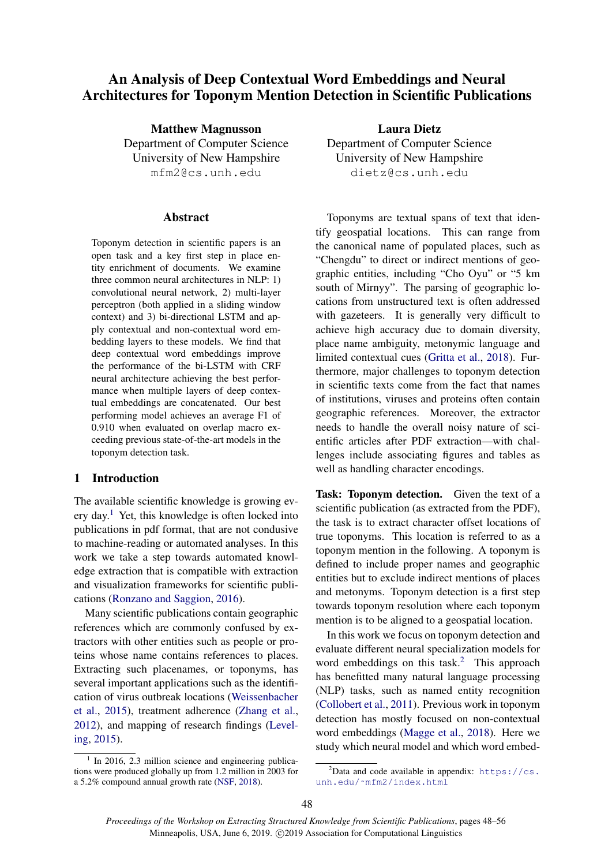# An Analysis of Deep Contextual Word Embeddings and Neural Architectures for Toponym Mention Detection in Scientific Publications

Matthew Magnusson Department of Computer Science University of New Hampshire mfm2@cs.unh.edu

#### Abstract

Toponym detection in scientific papers is an open task and a key first step in place entity enrichment of documents. We examine three common neural architectures in NLP: 1) convolutional neural network, 2) multi-layer perceptron (both applied in a sliding window context) and 3) bi-directional LSTM and apply contextual and non-contextual word embedding layers to these models. We find that deep contextual word embeddings improve the performance of the bi-LSTM with CRF neural architecture achieving the best performance when multiple layers of deep contextual embeddings are concatenated. Our best performing model achieves an average F1 of 0.910 when evaluated on overlap macro exceeding previous state-of-the-art models in the toponym detection task.

# 1 Introduction

The available scientific knowledge is growing ev-ery day.<sup>[1](#page-0-0)</sup> Yet, this knowledge is often locked into publications in pdf format, that are not condusive to machine-reading or automated analyses. In this work we take a step towards automated knowledge extraction that is compatible with extraction and visualization frameworks for scientific publications [\(Ronzano and Saggion,](#page-8-0) [2016\)](#page-8-0).

Many scientific publications contain geographic references which are commonly confused by extractors with other entities such as people or proteins whose name contains references to places. Extracting such placenames, or toponyms, has several important applications such as the identification of virus outbreak locations [\(Weissenbacher](#page-8-1) [et al.,](#page-8-1) [2015\)](#page-8-1), treatment adherence [\(Zhang et al.,](#page-8-2) [2012\)](#page-8-2), and mapping of research findings [\(Level](#page-7-0)[ing,](#page-7-0) [2015\)](#page-7-0).

<span id="page-0-0"></span><sup>1</sup> In 2016, 2.3 million science and engineering publications were produced globally up from 1.2 million in 2003 for a 5.2% compound annual growth rate [\(NSF,](#page-7-1) [2018\)](#page-7-1).

Laura Dietz Department of Computer Science University of New Hampshire dietz@cs.unh.edu

Toponyms are textual spans of text that identify geospatial locations. This can range from the canonical name of populated places, such as "Chengdu" to direct or indirect mentions of geographic entities, including "Cho Oyu" or "5 km south of Mirnyy". The parsing of geographic locations from unstructured text is often addressed with gazeteers. It is generally very difficult to achieve high accuracy due to domain diversity, place name ambiguity, metonymic language and limited contextual cues [\(Gritta et al.,](#page-7-2) [2018\)](#page-7-2). Furthermore, major challenges to toponym detection in scientific texts come from the fact that names of institutions, viruses and proteins often contain geographic references. Moreover, the extractor needs to handle the overall noisy nature of scientific articles after PDF extraction—with challenges include associating figures and tables as well as handling character encodings.

Task: Toponym detection. Given the text of a scientific publication (as extracted from the PDF), the task is to extract character offset locations of true toponyms. This location is referred to as a toponym mention in the following. A toponym is defined to include proper names and geographic entities but to exclude indirect mentions of places and metonyms. Toponym detection is a first step towards toponym resolution where each toponym mention is to be aligned to a geospatial location.

In this work we focus on toponym detection and evaluate different neural specialization models for word embeddings on this task.<sup>[2](#page-0-1)</sup> This approach has benefitted many natural language processing (NLP) tasks, such as named entity recognition [\(Collobert et al.,](#page-7-3) [2011\)](#page-7-3). Previous work in toponym detection has mostly focused on non-contextual word embeddings [\(Magge et al.,](#page-7-4) [2018\)](#page-7-4). Here we study which neural model and which word embed-

<span id="page-0-1"></span><sup>&</sup>lt;sup>2</sup>Data and code available in appendix:  $https://cs.$ unh.edu/~mfm2/index.html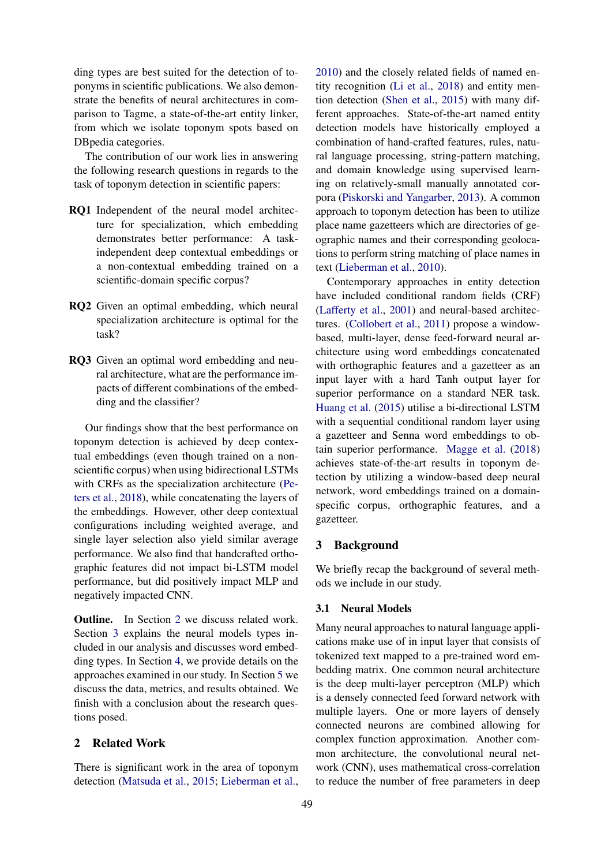ding types are best suited for the detection of toponyms in scientific publications. We also demonstrate the benefits of neural architectures in comparison to Tagme, a state-of-the-art entity linker, from which we isolate toponym spots based on DBpedia categories.

The contribution of our work lies in answering the following research questions in regards to the task of toponym detection in scientific papers:

- RQ1 Independent of the neural model architecture for specialization, which embedding demonstrates better performance: A taskindependent deep contextual embeddings or a non-contextual embedding trained on a scientific-domain specific corpus?
- RQ2 Given an optimal embedding, which neural specialization architecture is optimal for the task?
- RQ3 Given an optimal word embedding and neural architecture, what are the performance impacts of different combinations of the embedding and the classifier?

Our findings show that the best performance on toponym detection is achieved by deep contextual embeddings (even though trained on a nonscientific corpus) when using bidirectional LSTMs with CRFs as the specialization architecture [\(Pe](#page-8-3)[ters et al.,](#page-8-3) [2018\)](#page-8-3), while concatenating the layers of the embeddings. However, other deep contextual configurations including weighted average, and single layer selection also yield similar average performance. We also find that handcrafted orthographic features did not impact bi-LSTM model performance, but did positively impact MLP and negatively impacted CNN.

Outline. In Section [2](#page-1-0) we discuss related work. Section [3](#page-1-1) explains the neural models types included in our analysis and discusses word embedding types. In Section [4,](#page-2-0) we provide details on the approaches examined in our study. In Section [5](#page-4-0) we discuss the data, metrics, and results obtained. We finish with a conclusion about the research questions posed.

# <span id="page-1-0"></span>2 Related Work

There is significant work in the area of toponym detection [\(Matsuda et al.,](#page-7-5) [2015;](#page-7-5) [Lieberman et al.,](#page-7-6)

[2010\)](#page-7-6) and the closely related fields of named entity recognition [\(Li et al.,](#page-7-7) [2018\)](#page-7-7) and entity mention detection [\(Shen et al.,](#page-8-4) [2015\)](#page-8-4) with many different approaches. State-of-the-art named entity detection models have historically employed a combination of hand-crafted features, rules, natural language processing, string-pattern matching, and domain knowledge using supervised learning on relatively-small manually annotated corpora [\(Piskorski and Yangarber,](#page-8-5) [2013\)](#page-8-5). A common approach to toponym detection has been to utilize place name gazetteers which are directories of geographic names and their corresponding geolocations to perform string matching of place names in text [\(Lieberman et al.,](#page-7-6) [2010\)](#page-7-6).

Contemporary approaches in entity detection have included conditional random fields (CRF) [\(Lafferty et al.,](#page-7-8) [2001\)](#page-7-8) and neural-based architectures. [\(Collobert et al.,](#page-7-3) [2011\)](#page-7-3) propose a windowbased, multi-layer, dense feed-forward neural architecture using word embeddings concatenated with orthographic features and a gazetteer as an input layer with a hard Tanh output layer for superior performance on a standard NER task. [Huang et al.](#page-7-9) [\(2015\)](#page-7-9) utilise a bi-directional LSTM with a sequential conditional random layer using a gazetteer and Senna word embeddings to obtain superior performance. [Magge et al.](#page-7-4) [\(2018\)](#page-7-4) achieves state-of-the-art results in toponym detection by utilizing a window-based deep neural network, word embeddings trained on a domainspecific corpus, orthographic features, and a gazetteer.

# <span id="page-1-1"></span>3 Background

We briefly recap the background of several methods we include in our study.

#### 3.1 Neural Models

Many neural approaches to natural language applications make use of in input layer that consists of tokenized text mapped to a pre-trained word embedding matrix. One common neural architecture is the deep multi-layer perceptron (MLP) which is a densely connected feed forward network with multiple layers. One or more layers of densely connected neurons are combined allowing for complex function approximation. Another common architecture, the convolutional neural network (CNN), uses mathematical cross-correlation to reduce the number of free parameters in deep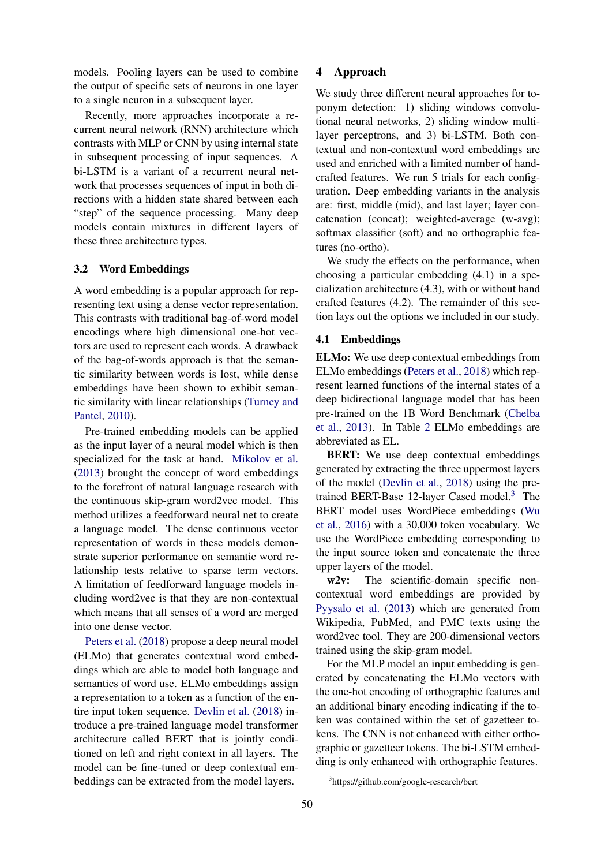models. Pooling layers can be used to combine the output of specific sets of neurons in one layer to a single neuron in a subsequent layer.

Recently, more approaches incorporate a recurrent neural network (RNN) architecture which contrasts with MLP or CNN by using internal state in subsequent processing of input sequences. A bi-LSTM is a variant of a recurrent neural network that processes sequences of input in both directions with a hidden state shared between each "step" of the sequence processing. Many deep models contain mixtures in different layers of these three architecture types.

#### 3.2 Word Embeddings

A word embedding is a popular approach for representing text using a dense vector representation. This contrasts with traditional bag-of-word model encodings where high dimensional one-hot vectors are used to represent each words. A drawback of the bag-of-words approach is that the semantic similarity between words is lost, while dense embeddings have been shown to exhibit semantic similarity with linear relationships [\(Turney and](#page-8-6) [Pantel,](#page-8-6) [2010\)](#page-8-6).

Pre-trained embedding models can be applied as the input layer of a neural model which is then specialized for the task at hand. [Mikolov et al.](#page-8-7) [\(2013\)](#page-8-7) brought the concept of word embeddings to the forefront of natural language research with the continuous skip-gram word2vec model. This method utilizes a feedforward neural net to create a language model. The dense continuous vector representation of words in these models demonstrate superior performance on semantic word relationship tests relative to sparse term vectors. A limitation of feedforward language models including word2vec is that they are non-contextual which means that all senses of a word are merged into one dense vector.

[Peters et al.](#page-8-3) [\(2018\)](#page-8-3) propose a deep neural model (ELMo) that generates contextual word embeddings which are able to model both language and semantics of word use. ELMo embeddings assign a representation to a token as a function of the entire input token sequence. [Devlin et al.](#page-7-10) [\(2018\)](#page-7-10) introduce a pre-trained language model transformer architecture called BERT that is jointly conditioned on left and right context in all layers. The model can be fine-tuned or deep contextual embeddings can be extracted from the model layers.

### <span id="page-2-0"></span>4 Approach

We study three different neural approaches for toponym detection: 1) sliding windows convolutional neural networks, 2) sliding window multilayer perceptrons, and 3) bi-LSTM. Both contextual and non-contextual word embeddings are used and enriched with a limited number of handcrafted features. We run 5 trials for each configuration. Deep embedding variants in the analysis are: first, middle (mid), and last layer; layer concatenation (concat); weighted-average (w-avg); softmax classifier (soft) and no orthographic features (no-ortho).

We study the effects on the performance, when choosing a particular embedding (4.1) in a specialization architecture (4.3), with or without hand crafted features (4.2). The remainder of this section lays out the options we included in our study.

#### 4.1 Embeddings

ELMo: We use deep contextual embeddings from ELMo embeddings [\(Peters et al.,](#page-8-3) [2018\)](#page-8-3) which represent learned functions of the internal states of a deep bidirectional language model that has been pre-trained on the 1B Word Benchmark [\(Chelba](#page-7-11) [et al.,](#page-7-11) [2013\)](#page-7-11). In Table [2](#page-5-0) ELMo embeddings are abbreviated as EL.

BERT: We use deep contextual embeddings generated by extracting the three uppermost layers of the model [\(Devlin et al.,](#page-7-10) [2018\)](#page-7-10) using the pre-trained BERT-Base 12-layer Cased model.<sup>[3](#page-2-1)</sup> The BERT model uses WordPiece embeddings [\(Wu](#page-8-8) [et al.,](#page-8-8) [2016\)](#page-8-8) with a 30,000 token vocabulary. We use the WordPiece embedding corresponding to the input source token and concatenate the three upper layers of the model.

w2v: The scientific-domain specific noncontextual word embeddings are provided by [Pyysalo et al.](#page-8-9) [\(2013\)](#page-8-9) which are generated from Wikipedia, PubMed, and PMC texts using the word2vec tool. They are 200-dimensional vectors trained using the skip-gram model.

For the MLP model an input embedding is generated by concatenating the ELMo vectors with the one-hot encoding of orthographic features and an additional binary encoding indicating if the token was contained within the set of gazetteer tokens. The CNN is not enhanced with either orthographic or gazetteer tokens. The bi-LSTM embedding is only enhanced with orthographic features.

<span id="page-2-1"></span><sup>3</sup> https://github.com/google-research/bert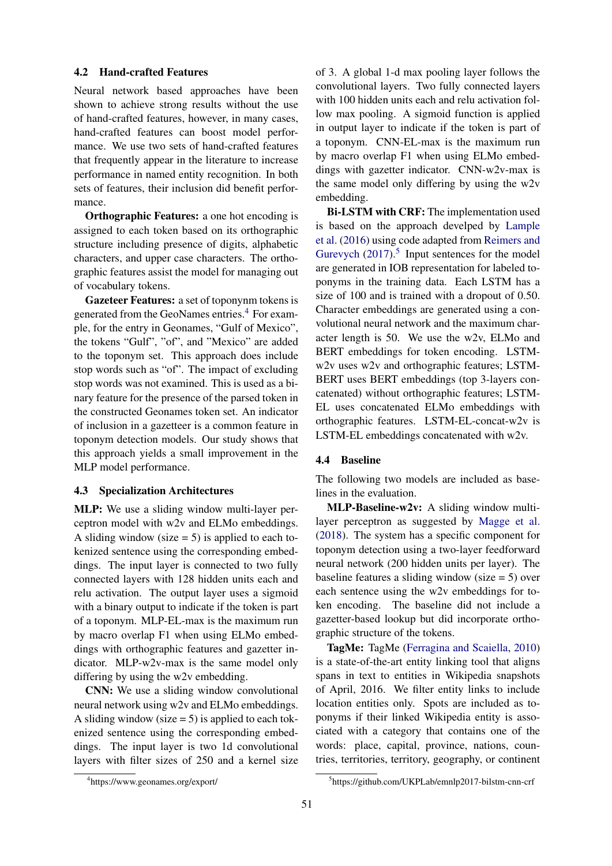#### 4.2 Hand-crafted Features

Neural network based approaches have been shown to achieve strong results without the use of hand-crafted features, however, in many cases, hand-crafted features can boost model performance. We use two sets of hand-crafted features that frequently appear in the literature to increase performance in named entity recognition. In both sets of features, their inclusion did benefit performance.

Orthographic Features: a one hot encoding is assigned to each token based on its orthographic structure including presence of digits, alphabetic characters, and upper case characters. The orthographic features assist the model for managing out of vocabulary tokens.

Gazeteer Features: a set of toponynm tokens is generated from the GeoNames entries.[4](#page-3-0) For example, for the entry in Geonames, "Gulf of Mexico", the tokens "Gulf", "of", and "Mexico" are added to the toponym set. This approach does include stop words such as "of". The impact of excluding stop words was not examined. This is used as a binary feature for the presence of the parsed token in the constructed Geonames token set. An indicator of inclusion in a gazetteer is a common feature in toponym detection models. Our study shows that this approach yields a small improvement in the MLP model performance.

### 4.3 Specialization Architectures

MLP: We use a sliding window multi-layer perceptron model with w2v and ELMo embeddings. A sliding window (size  $= 5$ ) is applied to each tokenized sentence using the corresponding embeddings. The input layer is connected to two fully connected layers with 128 hidden units each and relu activation. The output layer uses a sigmoid with a binary output to indicate if the token is part of a toponym. MLP-EL-max is the maximum run by macro overlap F1 when using ELMo embeddings with orthographic features and gazetter indicator. MLP-w2v-max is the same model only differing by using the w2v embedding.

CNN: We use a sliding window convolutional neural network using w2v and ELMo embeddings. A sliding window (size  $= 5$ ) is applied to each tokenized sentence using the corresponding embeddings. The input layer is two 1d convolutional layers with filter sizes of 250 and a kernel size

of 3. A global 1-d max pooling layer follows the convolutional layers. Two fully connected layers with 100 hidden units each and relu activation follow max pooling. A sigmoid function is applied in output layer to indicate if the token is part of a toponym. CNN-EL-max is the maximum run by macro overlap F1 when using ELMo embeddings with gazetter indicator. CNN-w2v-max is the same model only differing by using the w2v embedding.

Bi-LSTM with CRF: The implementation used is based on the approach develped by [Lample](#page-7-12) [et al.](#page-7-12) [\(2016\)](#page-7-12) using code adapted from [Reimers and](#page-8-10) [Gurevych](#page-8-10)  $(2017).<sup>5</sup>$  $(2017).<sup>5</sup>$  $(2017).<sup>5</sup>$  $(2017).<sup>5</sup>$  Input sentences for the model are generated in IOB representation for labeled toponyms in the training data. Each LSTM has a size of 100 and is trained with a dropout of 0.50. Character embeddings are generated using a convolutional neural network and the maximum character length is 50. We use the w2v, ELMo and BERT embeddings for token encoding. LSTMw2v uses w2v and orthographic features; LSTM-BERT uses BERT embeddings (top 3-layers concatenated) without orthographic features; LSTM-EL uses concatenated ELMo embeddings with orthographic features. LSTM-EL-concat-w2v is LSTM-EL embeddings concatenated with w2v.

#### 4.4 Baseline

The following two models are included as baselines in the evaluation.

MLP-Baseline-w2v: A sliding window multilayer perceptron as suggested by [Magge et al.](#page-7-4) [\(2018\)](#page-7-4). The system has a specific component for toponym detection using a two-layer feedforward neural network (200 hidden units per layer). The baseline features a sliding window (size = 5) over each sentence using the w2v embeddings for token encoding. The baseline did not include a gazetter-based lookup but did incorporate orthographic structure of the tokens.

TagMe: TagMe [\(Ferragina and Scaiella,](#page-7-13) [2010\)](#page-7-13) is a state-of-the-art entity linking tool that aligns spans in text to entities in Wikipedia snapshots of April, 2016. We filter entity links to include location entities only. Spots are included as toponyms if their linked Wikipedia entity is associated with a category that contains one of the words: place, capital, province, nations, countries, territories, territory, geography, or continent

<span id="page-3-0"></span><sup>4</sup> https://www.geonames.org/export/

<span id="page-3-1"></span><sup>5</sup> https://github.com/UKPLab/emnlp2017-bilstm-cnn-crf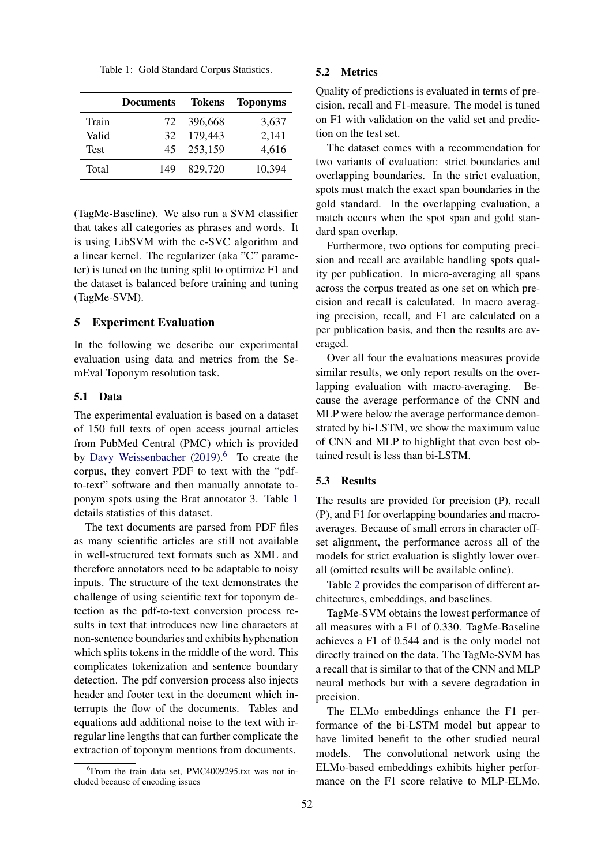<span id="page-4-2"></span>Table 1: Gold Standard Corpus Statistics.

|             | <b>Documents</b> | Tokens  | <b>Toponyms</b> |
|-------------|------------------|---------|-----------------|
| Train       | 72               | 396,668 | 3,637           |
| Valid       | 32               | 179,443 | 2,141           |
| <b>Test</b> | 45               | 253,159 | 4,616           |
| Total       | 149              | 829,720 | 10,394          |

(TagMe-Baseline). We also run a SVM classifier that takes all categories as phrases and words. It is using LibSVM with the c-SVC algorithm and a linear kernel. The regularizer (aka "C" parameter) is tuned on the tuning split to optimize F1 and the dataset is balanced before training and tuning (TagMe-SVM).

#### <span id="page-4-0"></span>5 Experiment Evaluation

In the following we describe our experimental evaluation using data and metrics from the SemEval Toponym resolution task.

#### 5.1 Data

The experimental evaluation is based on a dataset of 150 full texts of open access journal articles from PubMed Central (PMC) which is provided by [Davy Weissenbacher](#page-7-14)  $(2019).<sup>6</sup>$  $(2019).<sup>6</sup>$  $(2019).<sup>6</sup>$  $(2019).<sup>6</sup>$  To create the corpus, they convert PDF to text with the "pdfto-text" software and then manually annotate toponym spots using the Brat annotator 3. Table [1](#page-4-2) details statistics of this dataset.

The text documents are parsed from PDF files as many scientific articles are still not available in well-structured text formats such as XML and therefore annotators need to be adaptable to noisy inputs. The structure of the text demonstrates the challenge of using scientific text for toponym detection as the pdf-to-text conversion process results in text that introduces new line characters at non-sentence boundaries and exhibits hyphenation which splits tokens in the middle of the word. This complicates tokenization and sentence boundary detection. The pdf conversion process also injects header and footer text in the document which interrupts the flow of the documents. Tables and equations add additional noise to the text with irregular line lengths that can further complicate the extraction of toponym mentions from documents.

### 5.2 Metrics

Quality of predictions is evaluated in terms of precision, recall and F1-measure. The model is tuned on F1 with validation on the valid set and prediction on the test set.

The dataset comes with a recommendation for two variants of evaluation: strict boundaries and overlapping boundaries. In the strict evaluation, spots must match the exact span boundaries in the gold standard. In the overlapping evaluation, a match occurs when the spot span and gold standard span overlap.

Furthermore, two options for computing precision and recall are available handling spots quality per publication. In micro-averaging all spans across the corpus treated as one set on which precision and recall is calculated. In macro averaging precision, recall, and F1 are calculated on a per publication basis, and then the results are averaged.

Over all four the evaluations measures provide similar results, we only report results on the overlapping evaluation with macro-averaging. Because the average performance of the CNN and MLP were below the average performance demonstrated by bi-LSTM, we show the maximum value of CNN and MLP to highlight that even best obtained result is less than bi-LSTM.

#### 5.3 Results

The results are provided for precision (P), recall (P), and F1 for overlapping boundaries and macroaverages. Because of small errors in character offset alignment, the performance across all of the models for strict evaluation is slightly lower overall (omitted results will be available online).

Table [2](#page-5-0) provides the comparison of different architectures, embeddings, and baselines.

TagMe-SVM obtains the lowest performance of all measures with a F1 of 0.330. TagMe-Baseline achieves a F1 of 0.544 and is the only model not directly trained on the data. The TagMe-SVM has a recall that is similar to that of the CNN and MLP neural methods but with a severe degradation in precision.

The ELMo embeddings enhance the F1 performance of the bi-LSTM model but appear to have limited benefit to the other studied neural models. The convolutional network using the ELMo-based embeddings exhibits higher performance on the F1 score relative to MLP-ELMo.

<span id="page-4-1"></span><sup>6</sup> From the train data set, PMC4009295.txt was not included because of encoding issues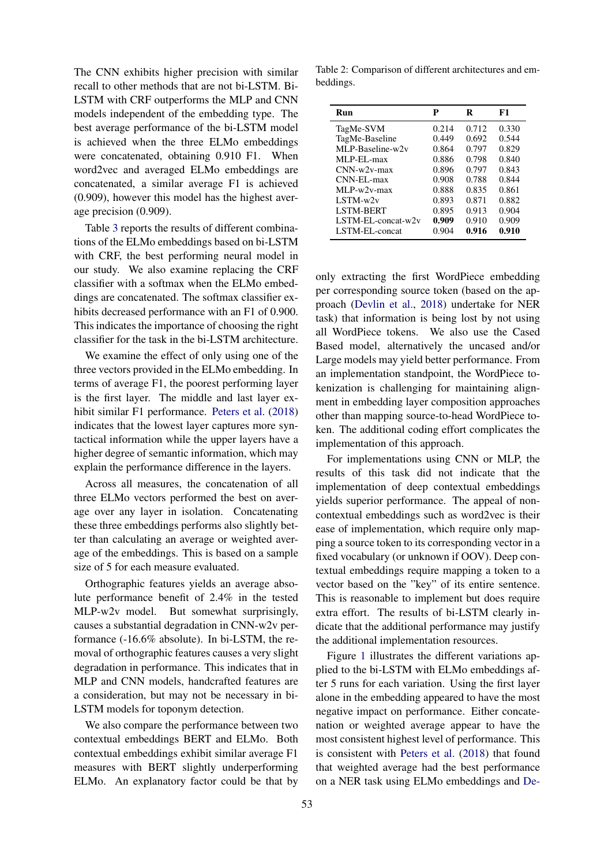The CNN exhibits higher precision with similar recall to other methods that are not bi-LSTM. Bi-LSTM with CRF outperforms the MLP and CNN models independent of the embedding type. The best average performance of the bi-LSTM model is achieved when the three ELMo embeddings were concatenated, obtaining 0.910 F1. When word2vec and averaged ELMo embeddings are concatenated, a similar average F1 is achieved (0.909), however this model has the highest average precision (0.909).

Table [3](#page-6-0) reports the results of different combinations of the ELMo embeddings based on bi-LSTM with CRF, the best performing neural model in our study. We also examine replacing the CRF classifier with a softmax when the ELMo embeddings are concatenated. The softmax classifier exhibits decreased performance with an F1 of 0.900. This indicates the importance of choosing the right classifier for the task in the bi-LSTM architecture.

We examine the effect of only using one of the three vectors provided in the ELMo embedding. In terms of average F1, the poorest performing layer is the first layer. The middle and last layer exhibit similar F1 performance. [Peters et al.](#page-8-3) [\(2018\)](#page-8-3) indicates that the lowest layer captures more syntactical information while the upper layers have a higher degree of semantic information, which may explain the performance difference in the layers.

Across all measures, the concatenation of all three ELMo vectors performed the best on average over any layer in isolation. Concatenating these three embeddings performs also slightly better than calculating an average or weighted average of the embeddings. This is based on a sample size of 5 for each measure evaluated.

Orthographic features yields an average absolute performance benefit of 2.4% in the tested MLP-w2v model. But somewhat surprisingly, causes a substantial degradation in CNN-w2v performance (-16.6% absolute). In bi-LSTM, the removal of orthographic features causes a very slight degradation in performance. This indicates that in MLP and CNN models, handcrafted features are a consideration, but may not be necessary in bi-LSTM models for toponym detection.

We also compare the performance between two contextual embeddings BERT and ELMo. Both contextual embeddings exhibit similar average F1 measures with BERT slightly underperforming ELMo. An explanatory factor could be that by

<span id="page-5-0"></span>Table 2: Comparison of different architectures and embeddings.

| Run                | P     | R     | F1    |
|--------------------|-------|-------|-------|
| TagMe-SVM          | 0.214 | 0.712 | 0.330 |
| TagMe-Baseline     | 0.449 | 0.692 | 0.544 |
| MLP-Baseline-w2y   | 0.864 | 0.797 | 0.829 |
| MLP-EL-max         | 0.886 | 0.798 | 0.840 |
| $CNN-w2v-max$      | 0.896 | 0.797 | 0.843 |
| CNN-EL-max         | 0.908 | 0.788 | 0.844 |
| $MI.P-w2v-max$     | 0.888 | 0.835 | 0.861 |
| $LSTM-w2v$         | 0.893 | 0.871 | 0.882 |
| <b>LSTM-BERT</b>   | 0.895 | 0.913 | 0.904 |
| LSTM-EL-concat-w2v | 0.909 | 0.910 | 0.909 |
| LSTM-EL-concat     | 0.904 | 0.916 | 0.910 |

only extracting the first WordPiece embedding per corresponding source token (based on the approach [\(Devlin et al.,](#page-7-10) [2018\)](#page-7-10) undertake for NER task) that information is being lost by not using all WordPiece tokens. We also use the Cased Based model, alternatively the uncased and/or Large models may yield better performance. From an implementation standpoint, the WordPiece tokenization is challenging for maintaining alignment in embedding layer composition approaches other than mapping source-to-head WordPiece token. The additional coding effort complicates the implementation of this approach.

For implementations using CNN or MLP, the results of this task did not indicate that the implementation of deep contextual embeddings yields superior performance. The appeal of noncontextual embeddings such as word2vec is their ease of implementation, which require only mapping a source token to its corresponding vector in a fixed vocabulary (or unknown if OOV). Deep contextual embeddings require mapping a token to a vector based on the "key" of its entire sentence. This is reasonable to implement but does require extra effort. The results of bi-LSTM clearly indicate that the additional performance may justify the additional implementation resources.

Figure [1](#page-6-1) illustrates the different variations applied to the bi-LSTM with ELMo embeddings after 5 runs for each variation. Using the first layer alone in the embedding appeared to have the most negative impact on performance. Either concatenation or weighted average appear to have the most consistent highest level of performance. This is consistent with [Peters et al.](#page-8-3) [\(2018\)](#page-8-3) that found that weighted average had the best performance on a NER task using ELMo embeddings and [De-](#page-7-10)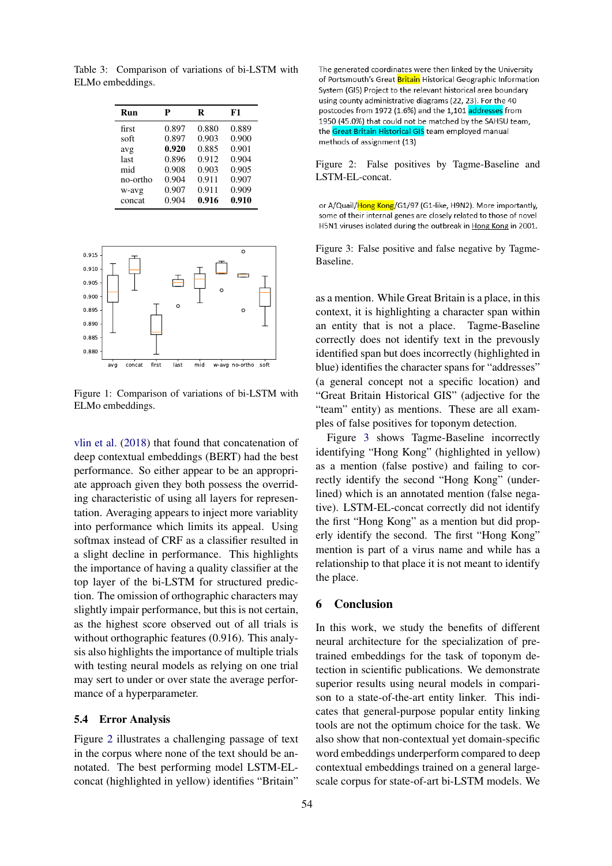<span id="page-6-0"></span>Table 3: Comparison of variations of bi-LSTM with ELMo embeddings.

| Run      | р     | R     | F1    |
|----------|-------|-------|-------|
| first    | 0.897 | 0.880 | 0.889 |
| soft     | 0.897 | 0.903 | 0.900 |
| avg      | 0.920 | 0.885 | 0.901 |
| last     | 0.896 | 0.912 | 0.904 |
| mid      | 0.908 | 0.903 | 0.905 |
| no-ortho | 0.904 | 0.911 | 0.907 |
| w-avg    | 0.907 | 0.911 | 0.909 |
| concat   | 0.904 | 0.916 | 0.910 |

<span id="page-6-1"></span>

Figure 1: Comparison of variations of bi-LSTM with ELMo embeddings.

[vlin et al.](#page-7-10) [\(2018\)](#page-7-10) that found that concatenation of deep contextual embeddings (BERT) had the best performance. So either appear to be an appropriate approach given they both possess the overriding characteristic of using all layers for representation. Averaging appears to inject more variablity into performance which limits its appeal. Using softmax instead of CRF as a classifier resulted in a slight decline in performance. This highlights the importance of having a quality classifier at the top layer of the bi-LSTM for structured prediction. The omission of orthographic characters may slightly impair performance, but this is not certain, as the highest score observed out of all trials is without orthographic features (0.916). This analysis also highlights the importance of multiple trials with testing neural models as relying on one trial may sert to under or over state the average performance of a hyperparameter.

### 5.4 Error Analysis

Figure [2](#page-6-2) illustrates a challenging passage of text in the corpus where none of the text should be annotated. The best performing model LSTM-ELconcat (highlighted in yellow) identifies "Britain"

<span id="page-6-2"></span>The generated coordinates were then linked by the University of Portsmouth's Great Britain Historical Geographic Information System (GIS) Project to the relevant historical area boundary using county administrative diagrams (22, 23). For the 40 postcodes from 1972 (1.6%) and the 1,101 addresses from 1950 (45.0%) that could not be matched by the SAHSU team, the Great Britain Historical GIS team employed manual methods of assignment (13)

Figure 2: False positives by Tagme-Baseline and LSTM-EL-concat.

<span id="page-6-3"></span>or A/Quail/Hong Kong/G1/97 (G1-like, H9N2). More importantly, some of their internal genes are closely related to those of novel H5N1 viruses isolated during the outbreak in Hong Kong in 2001.

Figure 3: False positive and false negative by Tagme-Baseline.

as a mention. While Great Britain is a place, in this context, it is highlighting a character span within an entity that is not a place. Tagme-Baseline correctly does not identify text in the prevously identified span but does incorrectly (highlighted in blue) identifies the character spans for "addresses" (a general concept not a specific location) and "Great Britain Historical GIS" (adjective for the "team" entity) as mentions. These are all examples of false positives for toponym detection.

Figure [3](#page-6-3) shows Tagme-Baseline incorrectly identifying "Hong Kong" (highlighted in yellow) as a mention (false postive) and failing to correctly identify the second "Hong Kong" (underlined) which is an annotated mention (false negative). LSTM-EL-concat correctly did not identify the first "Hong Kong" as a mention but did properly identify the second. The first "Hong Kong" mention is part of a virus name and while has a relationship to that place it is not meant to identify the place.

# 6 Conclusion

In this work, we study the benefits of different neural architecture for the specialization of pretrained embeddings for the task of toponym detection in scientific publications. We demonstrate superior results using neural models in comparison to a state-of-the-art entity linker. This indicates that general-purpose popular entity linking tools are not the optimum choice for the task. We also show that non-contextual yet domain-specific word embeddings underperform compared to deep contextual embeddings trained on a general largescale corpus for state-of-art bi-LSTM models. We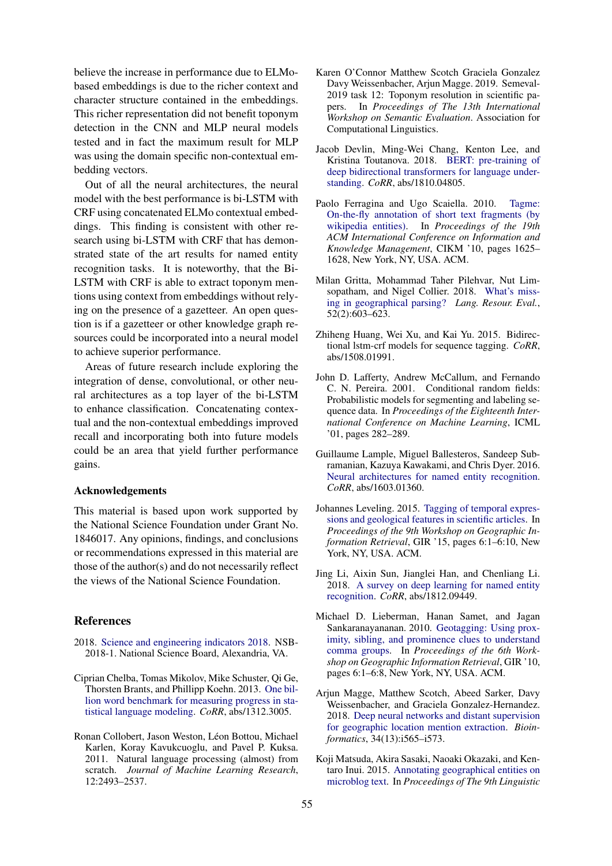believe the increase in performance due to ELMobased embeddings is due to the richer context and character structure contained in the embeddings. This richer representation did not benefit toponym detection in the CNN and MLP neural models tested and in fact the maximum result for MLP was using the domain specific non-contextual embedding vectors.

Out of all the neural architectures, the neural model with the best performance is bi-LSTM with CRF using concatenated ELMo contextual embeddings. This finding is consistent with other research using bi-LSTM with CRF that has demonstrated state of the art results for named entity recognition tasks. It is noteworthy, that the Bi-LSTM with CRF is able to extract toponym mentions using context from embeddings without relying on the presence of a gazetteer. An open question is if a gazetteer or other knowledge graph resources could be incorporated into a neural model to achieve superior performance.

Areas of future research include exploring the integration of dense, convolutional, or other neural architectures as a top layer of the bi-LSTM to enhance classification. Concatenating contextual and the non-contextual embeddings improved recall and incorporating both into future models could be an area that yield further performance gains.

#### Acknowledgements

This material is based upon work supported by the National Science Foundation under Grant No. 1846017. Any opinions, findings, and conclusions or recommendations expressed in this material are those of the author(s) and do not necessarily reflect the views of the National Science Foundation.

## References

- <span id="page-7-1"></span>2018. [Science and engineering indicators 2018.](https://www.nsf.gov/statistics/indicators/) NSB-2018-1. National Science Board, Alexandria, VA.
- <span id="page-7-11"></span>Ciprian Chelba, Tomas Mikolov, Mike Schuster, Qi Ge, Thorsten Brants, and Phillipp Koehn. 2013. [One bil](http://arxiv.org/abs/1312.3005)[lion word benchmark for measuring progress in sta](http://arxiv.org/abs/1312.3005)[tistical language modeling.](http://arxiv.org/abs/1312.3005) *CoRR*, abs/1312.3005.
- <span id="page-7-3"></span>Ronan Collobert, Jason Weston, Léon Bottou, Michael Karlen, Koray Kavukcuoglu, and Pavel P. Kuksa. 2011. Natural language processing (almost) from scratch. *Journal of Machine Learning Research*, 12:2493–2537.
- <span id="page-7-14"></span>Karen O'Connor Matthew Scotch Graciela Gonzalez Davy Weissenbacher, Arjun Magge. 2019. Semeval-2019 task 12: Toponym resolution in scientific papers. In *Proceedings of The 13th International Workshop on Semantic Evaluation*. Association for Computational Linguistics.
- <span id="page-7-10"></span>Jacob Devlin, Ming-Wei Chang, Kenton Lee, and Kristina Toutanova. 2018. [BERT: pre-training of](http://arxiv.org/abs/1810.04805) [deep bidirectional transformers for language under](http://arxiv.org/abs/1810.04805)[standing.](http://arxiv.org/abs/1810.04805) *CoRR*, abs/1810.04805.
- <span id="page-7-13"></span>Paolo Ferragina and Ugo Scaiella. 2010. [Tagme:](https://doi.org/10.1145/1871437.1871689) [On-the-fly annotation of short text fragments \(by](https://doi.org/10.1145/1871437.1871689) [wikipedia entities\).](https://doi.org/10.1145/1871437.1871689) In *Proceedings of the 19th ACM International Conference on Information and Knowledge Management*, CIKM '10, pages 1625– 1628, New York, NY, USA. ACM.
- <span id="page-7-2"></span>Milan Gritta, Mohammad Taher Pilehvar, Nut Limsopatham, and Nigel Collier. 2018. [What's miss](https://doi.org/10.1007/s10579-017-9385-8)[ing in geographical parsing?](https://doi.org/10.1007/s10579-017-9385-8) *Lang. Resour. Eval.*, 52(2):603–623.
- <span id="page-7-9"></span>Zhiheng Huang, Wei Xu, and Kai Yu. 2015. Bidirectional lstm-crf models for sequence tagging. *CoRR*, abs/1508.01991.
- <span id="page-7-8"></span>John D. Lafferty, Andrew McCallum, and Fernando C. N. Pereira. 2001. Conditional random fields: Probabilistic models for segmenting and labeling sequence data. In *Proceedings of the Eighteenth International Conference on Machine Learning*, ICML '01, pages 282–289.
- <span id="page-7-12"></span>Guillaume Lample, Miguel Ballesteros, Sandeep Subramanian, Kazuya Kawakami, and Chris Dyer. 2016. [Neural architectures for named entity recognition.](http://arxiv.org/abs/1603.01360) *CoRR*, abs/1603.01360.
- <span id="page-7-0"></span>Johannes Leveling. 2015. [Tagging of temporal expres](https://doi.org/10.1145/2837689.2837701)[sions and geological features in scientific articles.](https://doi.org/10.1145/2837689.2837701) In *Proceedings of the 9th Workshop on Geographic Information Retrieval*, GIR '15, pages 6:1–6:10, New York, NY, USA. ACM.
- <span id="page-7-7"></span>Jing Li, Aixin Sun, Jianglei Han, and Chenliang Li. 2018. [A survey on deep learning for named entity](http://arxiv.org/abs/1812.09449) [recognition.](http://arxiv.org/abs/1812.09449) *CoRR*, abs/1812.09449.
- <span id="page-7-6"></span>Michael D. Lieberman, Hanan Samet, and Jagan Sankaranayananan. 2010. [Geotagging: Using prox](https://doi.org/10.1145/1722080.1722088)[imity, sibling, and prominence clues to understand](https://doi.org/10.1145/1722080.1722088) [comma groups.](https://doi.org/10.1145/1722080.1722088) In *Proceedings of the 6th Workshop on Geographic Information Retrieval*, GIR '10, pages 6:1–6:8, New York, NY, USA. ACM.
- <span id="page-7-4"></span>Arjun Magge, Matthew Scotch, Abeed Sarker, Davy Weissenbacher, and Graciela Gonzalez-Hernandez. 2018. [Deep neural networks and distant supervision](https://doi.org/10.1093/bioinformatics/bty273) [for geographic location mention extraction.](https://doi.org/10.1093/bioinformatics/bty273) *Bioinformatics*, 34(13):i565–i573.
- <span id="page-7-5"></span>Koji Matsuda, Akira Sasaki, Naoaki Okazaki, and Kentaro Inui. 2015. [Annotating geographical entities on](https://doi.org/10.3115/v1/W15-1609) [microblog text.](https://doi.org/10.3115/v1/W15-1609) In *Proceedings of The 9th Linguistic*